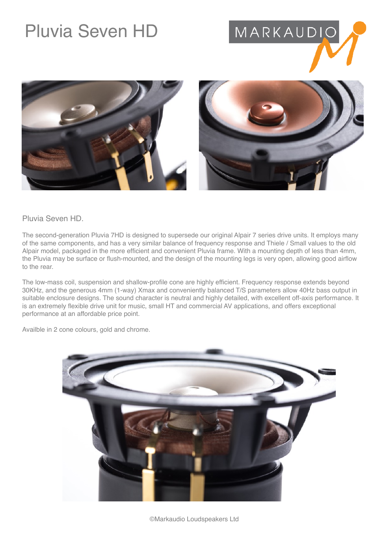## Pluvia Seven HD







## Pluvia Seven HD.

The second-generation Pluvia 7HD is designed to supersede our original Alpair 7 series drive units. It employs many of the same components, and has a very similar balance of frequency response and Thiele / Small values to the old Alpair model, packaged in the more efficient and convenient Pluvia frame. With a mounting depth of less than 4mm, the Pluvia may be surface or flush-mounted, and the design of the mounting legs is very open, allowing good airflow to the rear.

The low-mass coil, suspension and shallow-profile cone are highly efficient. Frequency response extends beyond 30KHz, and the generous 4mm (1-way) Xmax and conveniently balanced T/S parameters allow 40Hz bass output in suitable enclosure designs. The sound character is neutral and highly detailed, with excellent off-axis performance. It is an extremely flexible drive unit for music, small HT and commercial AV applications, and offers exceptional performance at an affordable price point.

Availble in 2 cone colours, gold and chrome.